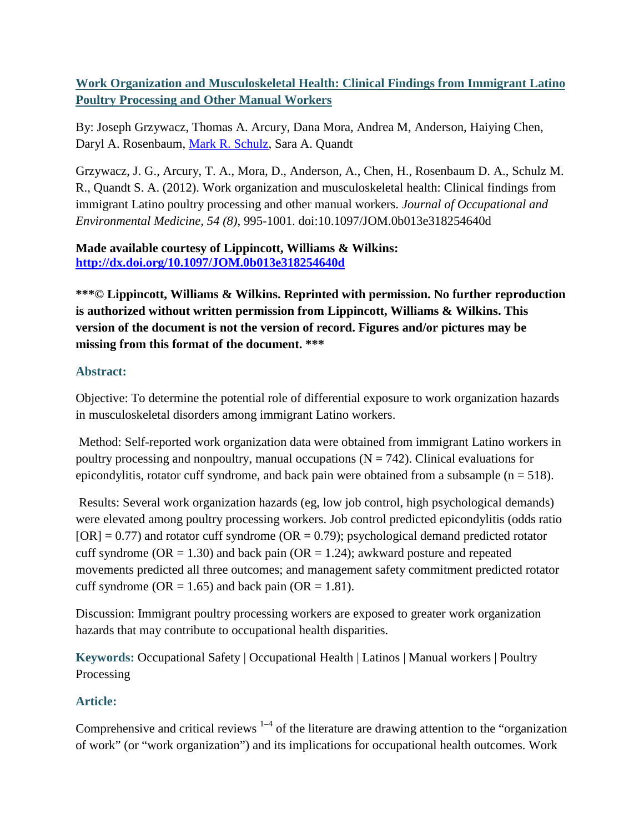**Work Organization and Musculoskeletal Health: Clinical Findings from Immigrant Latino Poultry Processing and Other Manual Workers**

By: Joseph Grzywacz, Thomas A. Arcury, Dana Mora, Andrea M, Anderson, Haiying Chen, Daryl A. Rosenbaum, [Mark R. Schulz,](http://libres.uncg.edu/ir/uncg/clist.aspx?id=1579) Sara A. Quandt

Grzywacz, J. G., Arcury, T. A., Mora, D., Anderson, A., Chen, H., Rosenbaum D. A., Schulz M. R., Quandt S. A. (2012). Work organization and musculoskeletal health: Clinical findings from immigrant Latino poultry processing and other manual workers. *Journal of Occupational and Environmental Medicine, 54 (8)*, 995-1001. doi:10.1097/JOM.0b013e318254640d

# **Made available courtesy of Lippincott, Williams & Wilkins: <http://dx.doi.org/10.1097/JOM.0b013e318254640d>**

**\*\*\*© Lippincott, Williams & Wilkins. Reprinted with permission. No further reproduction is authorized without written permission from Lippincott, Williams & Wilkins. This version of the document is not the version of record. Figures and/or pictures may be missing from this format of the document. \*\*\***

# **Abstract:**

Objective: To determine the potential role of differential exposure to work organization hazards in musculoskeletal disorders among immigrant Latino workers.

Method: Self-reported work organization data were obtained from immigrant Latino workers in poultry processing and nonpoultry, manual occupations  $(N = 742)$ . Clinical evaluations for epicondylitis, rotator cuff syndrome, and back pain were obtained from a subsample ( $n = 518$ ).

Results: Several work organization hazards (eg, low job control, high psychological demands) were elevated among poultry processing workers. Job control predicted epicondylitis (odds ratio  $[OR] = 0.77$ ) and rotator cuff syndrome  $(OR = 0.79)$ ; psychological demand predicted rotator cuff syndrome ( $OR = 1.30$ ) and back pain ( $OR = 1.24$ ); awkward posture and repeated movements predicted all three outcomes; and management safety commitment predicted rotator cuff syndrome ( $OR = 1.65$ ) and back pain ( $OR = 1.81$ ).

Discussion: Immigrant poultry processing workers are exposed to greater work organization hazards that may contribute to occupational health disparities.

**Keywords:** Occupational Safety | Occupational Health | Latinos | Manual workers | Poultry Processing

# **Article:**

Comprehensive and critical reviews  $1-4$  of the literature are drawing attention to the "organization" of work" (or "work organization") and its implications for occupational health outcomes. Work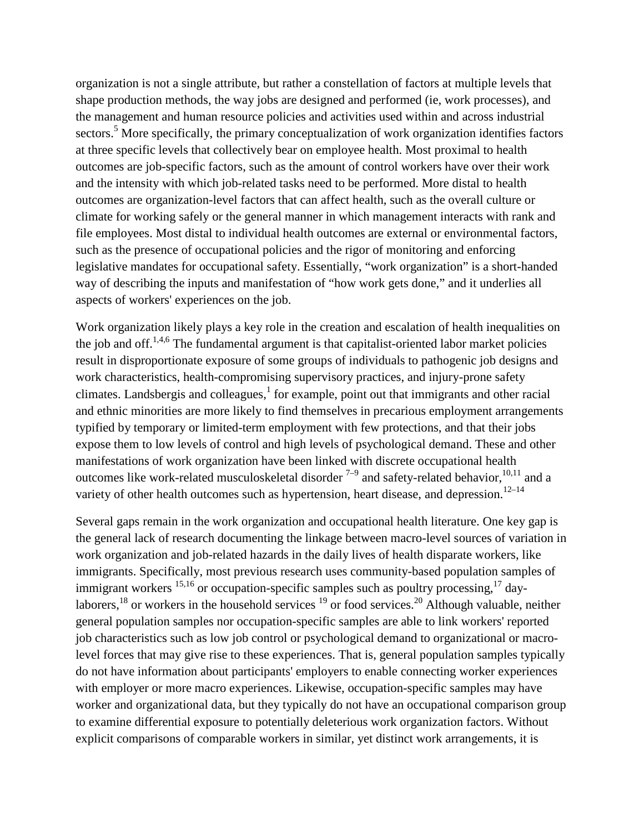organization is not a single attribute, but rather a constellation of factors at multiple levels that shape production methods, the way jobs are designed and performed (ie, work processes), and the management and human resource policies and activities used within and across industrial sectors.<sup>5</sup> More specifically, the primary conceptualization of work organization identifies factors at three specific levels that collectively bear on employee health. Most proximal to health outcomes are job-specific factors, such as the amount of control workers have over their work and the intensity with which job-related tasks need to be performed. More distal to health outcomes are organization-level factors that can affect health, such as the overall culture or climate for working safely or the general manner in which management interacts with rank and file employees. Most distal to individual health outcomes are external or environmental factors, such as the presence of occupational policies and the rigor of monitoring and enforcing legislative mandates for occupational safety. Essentially, "work organization" is a short-handed way of describing the inputs and manifestation of "how work gets done," and it underlies all aspects of workers' experiences on the job.

Work organization likely plays a key role in the creation and escalation of health inequalities on the job and off.<sup>1,4,6</sup> The fundamental argument is that capitalist-oriented labor market policies result in disproportionate exposure of some groups of individuals to pathogenic job designs and work characteristics, health-compromising supervisory practices, and injury-prone safety climates. Landsbergis and colleagues, $\frac{1}{2}$  for example, point out that immigrants and other racial and ethnic minorities are more likely to find themselves in precarious employment arrangements typified by temporary or limited-term employment with few protections, and that their jobs expose them to low levels of control and high levels of psychological demand. These and other manifestations of work organization have been linked with discrete occupational health outcomes like work-related musculoskeletal disorder  $7-9$  and safety-related behavior,  $10,11$  and a variety of other health outcomes such as hypertension, heart disease, and depression.<sup>12–14</sup>

Several gaps remain in the work organization and occupational health literature. One key gap is the general lack of research documenting the linkage between macro-level sources of variation in work organization and job-related hazards in the daily lives of health disparate workers, like immigrants. Specifically, most previous research uses community-based population samples of immigrant workers  $^{15,16}$  or occupation-specific samples such as poultry processing,  $^{17}$  daylaborers,<sup>18</sup> or workers in the household services  $19$  or food services.<sup>20</sup> Although valuable, neither general population samples nor occupation-specific samples are able to link workers' reported job characteristics such as low job control or psychological demand to organizational or macrolevel forces that may give rise to these experiences. That is, general population samples typically do not have information about participants' employers to enable connecting worker experiences with employer or more macro experiences. Likewise, occupation-specific samples may have worker and organizational data, but they typically do not have an occupational comparison group to examine differential exposure to potentially deleterious work organization factors. Without explicit comparisons of comparable workers in similar, yet distinct work arrangements, it is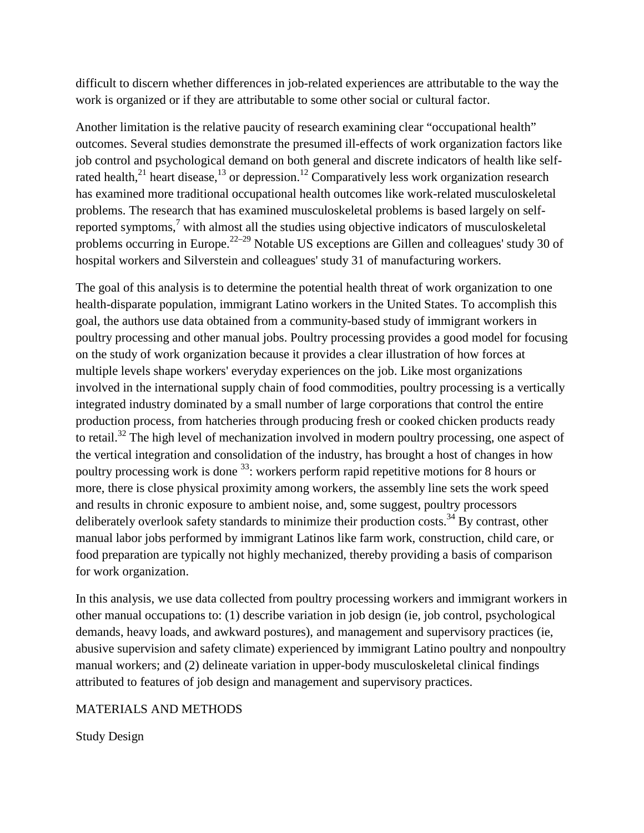difficult to discern whether differences in job-related experiences are attributable to the way the work is organized or if they are attributable to some other social or cultural factor.

Another limitation is the relative paucity of research examining clear "occupational health" outcomes. Several studies demonstrate the presumed ill-effects of work organization factors like job control and psychological demand on both general and discrete indicators of health like selfrated health,<sup>21</sup> heart disease,<sup>13</sup> or depression.<sup>12</sup> Comparatively less work organization research has examined more traditional occupational health outcomes like work-related musculoskeletal problems. The research that has examined musculoskeletal problems is based largely on selfreported symptoms, $\frac{7}{1}$  with almost all the studies using objective indicators of musculoskeletal problems occurring in Europe.<sup>22–29</sup> Notable US exceptions are Gillen and colleagues' study 30 of hospital workers and Silverstein and colleagues' study 31 of manufacturing workers.

The goal of this analysis is to determine the potential health threat of work organization to one health-disparate population, immigrant Latino workers in the United States. To accomplish this goal, the authors use data obtained from a community-based study of immigrant workers in poultry processing and other manual jobs. Poultry processing provides a good model for focusing on the study of work organization because it provides a clear illustration of how forces at multiple levels shape workers' everyday experiences on the job. Like most organizations involved in the international supply chain of food commodities, poultry processing is a vertically integrated industry dominated by a small number of large corporations that control the entire production process, from hatcheries through producing fresh or cooked chicken products ready to retail.<sup>32</sup> The high level of mechanization involved in modern poultry processing, one aspect of the vertical integration and consolidation of the industry, has brought a host of changes in how poultry processing work is done <sup>33</sup>: workers perform rapid repetitive motions for 8 hours or more, there is close physical proximity among workers, the assembly line sets the work speed and results in chronic exposure to ambient noise, and, some suggest, poultry processors deliberately overlook safety standards to minimize their production costs.<sup>34</sup> By contrast, other manual labor jobs performed by immigrant Latinos like farm work, construction, child care, or food preparation are typically not highly mechanized, thereby providing a basis of comparison for work organization.

In this analysis, we use data collected from poultry processing workers and immigrant workers in other manual occupations to: (1) describe variation in job design (ie, job control, psychological demands, heavy loads, and awkward postures), and management and supervisory practices (ie, abusive supervision and safety climate) experienced by immigrant Latino poultry and nonpoultry manual workers; and (2) delineate variation in upper-body musculoskeletal clinical findings attributed to features of job design and management and supervisory practices.

## MATERIALS AND METHODS

Study Design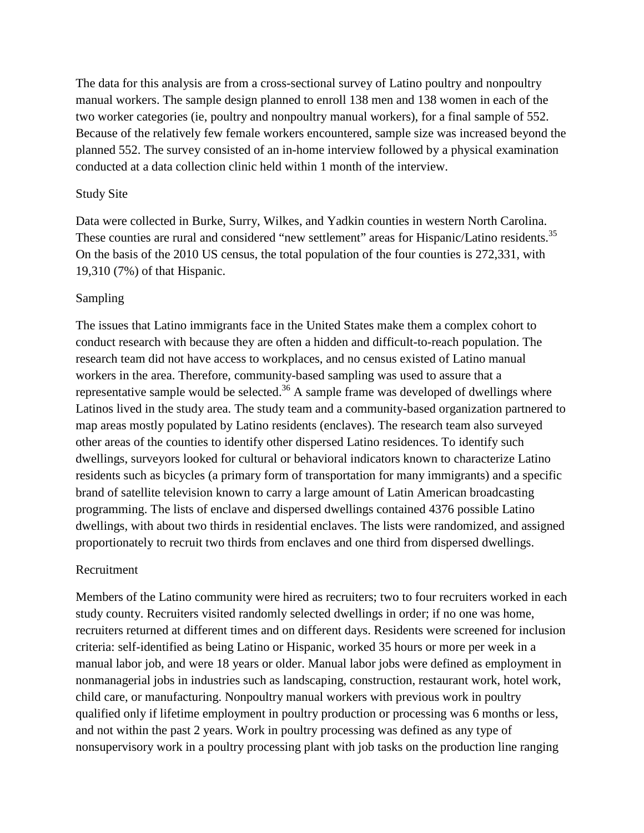The data for this analysis are from a cross-sectional survey of Latino poultry and nonpoultry manual workers. The sample design planned to enroll 138 men and 138 women in each of the two worker categories (ie, poultry and nonpoultry manual workers), for a final sample of 552. Because of the relatively few female workers encountered, sample size was increased beyond the planned 552. The survey consisted of an in-home interview followed by a physical examination conducted at a data collection clinic held within 1 month of the interview.

#### Study Site

Data were collected in Burke, Surry, Wilkes, and Yadkin counties in western North Carolina. These counties are rural and considered "new settlement" areas for Hispanic/Latino residents.<sup>35</sup> On the basis of the 2010 US census, the total population of the four counties is 272,331, with 19,310 (7%) of that Hispanic.

#### Sampling

The issues that Latino immigrants face in the United States make them a complex cohort to conduct research with because they are often a hidden and difficult-to-reach population. The research team did not have access to workplaces, and no census existed of Latino manual workers in the area. Therefore, community-based sampling was used to assure that a representative sample would be selected.<sup>36</sup> A sample frame was developed of dwellings where Latinos lived in the study area. The study team and a community-based organization partnered to map areas mostly populated by Latino residents (enclaves). The research team also surveyed other areas of the counties to identify other dispersed Latino residences. To identify such dwellings, surveyors looked for cultural or behavioral indicators known to characterize Latino residents such as bicycles (a primary form of transportation for many immigrants) and a specific brand of satellite television known to carry a large amount of Latin American broadcasting programming. The lists of enclave and dispersed dwellings contained 4376 possible Latino dwellings, with about two thirds in residential enclaves. The lists were randomized, and assigned proportionately to recruit two thirds from enclaves and one third from dispersed dwellings.

#### Recruitment

Members of the Latino community were hired as recruiters; two to four recruiters worked in each study county. Recruiters visited randomly selected dwellings in order; if no one was home, recruiters returned at different times and on different days. Residents were screened for inclusion criteria: self-identified as being Latino or Hispanic, worked 35 hours or more per week in a manual labor job, and were 18 years or older. Manual labor jobs were defined as employment in nonmanagerial jobs in industries such as landscaping, construction, restaurant work, hotel work, child care, or manufacturing. Nonpoultry manual workers with previous work in poultry qualified only if lifetime employment in poultry production or processing was 6 months or less, and not within the past 2 years. Work in poultry processing was defined as any type of nonsupervisory work in a poultry processing plant with job tasks on the production line ranging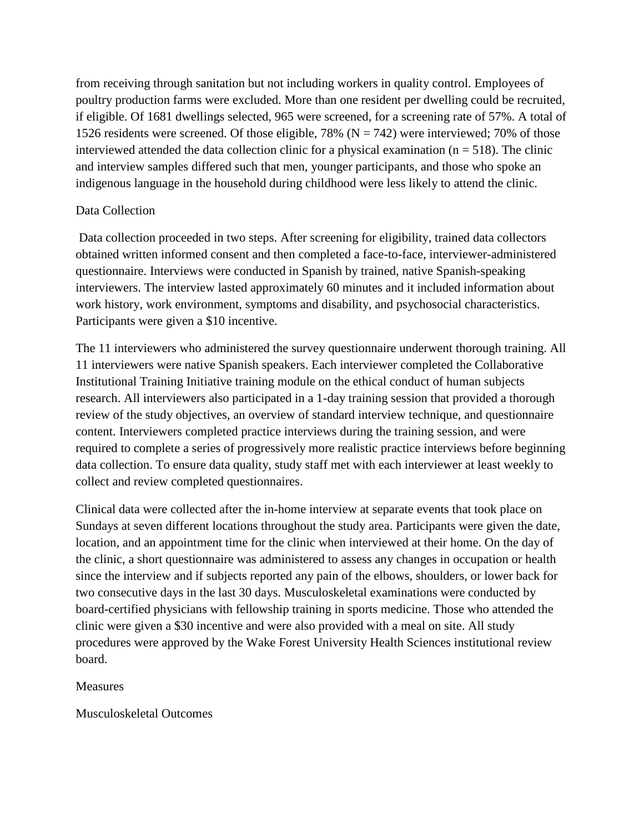from receiving through sanitation but not including workers in quality control. Employees of poultry production farms were excluded. More than one resident per dwelling could be recruited, if eligible. Of 1681 dwellings selected, 965 were screened, for a screening rate of 57%. A total of 1526 residents were screened. Of those eligible, 78% ( $N = 742$ ) were interviewed; 70% of those interviewed attended the data collection clinic for a physical examination ( $n = 518$ ). The clinic and interview samples differed such that men, younger participants, and those who spoke an indigenous language in the household during childhood were less likely to attend the clinic.

## Data Collection

Data collection proceeded in two steps. After screening for eligibility, trained data collectors obtained written informed consent and then completed a face-to-face, interviewer-administered questionnaire. Interviews were conducted in Spanish by trained, native Spanish-speaking interviewers. The interview lasted approximately 60 minutes and it included information about work history, work environment, symptoms and disability, and psychosocial characteristics. Participants were given a \$10 incentive.

The 11 interviewers who administered the survey questionnaire underwent thorough training. All 11 interviewers were native Spanish speakers. Each interviewer completed the Collaborative Institutional Training Initiative training module on the ethical conduct of human subjects research. All interviewers also participated in a 1-day training session that provided a thorough review of the study objectives, an overview of standard interview technique, and questionnaire content. Interviewers completed practice interviews during the training session, and were required to complete a series of progressively more realistic practice interviews before beginning data collection. To ensure data quality, study staff met with each interviewer at least weekly to collect and review completed questionnaires.

Clinical data were collected after the in-home interview at separate events that took place on Sundays at seven different locations throughout the study area. Participants were given the date, location, and an appointment time for the clinic when interviewed at their home. On the day of the clinic, a short questionnaire was administered to assess any changes in occupation or health since the interview and if subjects reported any pain of the elbows, shoulders, or lower back for two consecutive days in the last 30 days. Musculoskeletal examinations were conducted by board-certified physicians with fellowship training in sports medicine. Those who attended the clinic were given a \$30 incentive and were also provided with a meal on site. All study procedures were approved by the Wake Forest University Health Sciences institutional review board.

## Measures

Musculoskeletal Outcomes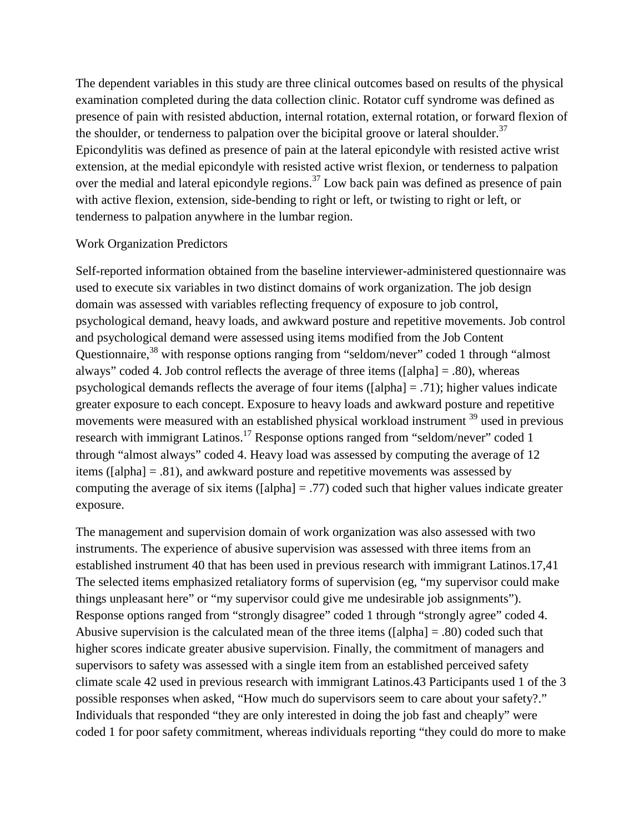The dependent variables in this study are three clinical outcomes based on results of the physical examination completed during the data collection clinic. Rotator cuff syndrome was defined as presence of pain with resisted abduction, internal rotation, external rotation, or forward flexion of the shoulder, or tenderness to palpation over the bicipital groove or lateral shoulder.<sup>37</sup> Epicondylitis was defined as presence of pain at the lateral epicondyle with resisted active wrist extension, at the medial epicondyle with resisted active wrist flexion, or tenderness to palpation over the medial and lateral epicondyle regions.<sup>37</sup> Low back pain was defined as presence of pain with active flexion, extension, side-bending to right or left, or twisting to right or left, or tenderness to palpation anywhere in the lumbar region.

#### Work Organization Predictors

Self-reported information obtained from the baseline interviewer-administered questionnaire was used to execute six variables in two distinct domains of work organization. The job design domain was assessed with variables reflecting frequency of exposure to job control, psychological demand, heavy loads, and awkward posture and repetitive movements. Job control and psychological demand were assessed using items modified from the Job Content Questionnaire,<sup>38</sup> with response options ranging from "seldom/never" coded 1 through "almost always" coded 4. Job control reflects the average of three items ( $[a]$ lpha $] = .80$ ), whereas psychological demands reflects the average of four items ( $\text{[alpha]} = .71$ ); higher values indicate greater exposure to each concept. Exposure to heavy loads and awkward posture and repetitive movements were measured with an established physical workload instrument <sup>39</sup> used in previous research with immigrant Latinos.<sup>17</sup> Response options ranged from "seldom/never" coded 1 through "almost always" coded 4. Heavy load was assessed by computing the average of 12 items ([alpha] = .81), and awkward posture and repetitive movements was assessed by computing the average of six items ( $\lceil \text{alpha} \rceil = .77$ ) coded such that higher values indicate greater exposure.

The management and supervision domain of work organization was also assessed with two instruments. The experience of abusive supervision was assessed with three items from an established instrument 40 that has been used in previous research with immigrant Latinos.17,41 The selected items emphasized retaliatory forms of supervision (eg, "my supervisor could make things unpleasant here" or "my supervisor could give me undesirable job assignments"). Response options ranged from "strongly disagree" coded 1 through "strongly agree" coded 4. Abusive supervision is the calculated mean of the three items ([alpha] = .80) coded such that higher scores indicate greater abusive supervision. Finally, the commitment of managers and supervisors to safety was assessed with a single item from an established perceived safety climate scale 42 used in previous research with immigrant Latinos.43 Participants used 1 of the 3 possible responses when asked, "How much do supervisors seem to care about your safety?." Individuals that responded "they are only interested in doing the job fast and cheaply" were coded 1 for poor safety commitment, whereas individuals reporting "they could do more to make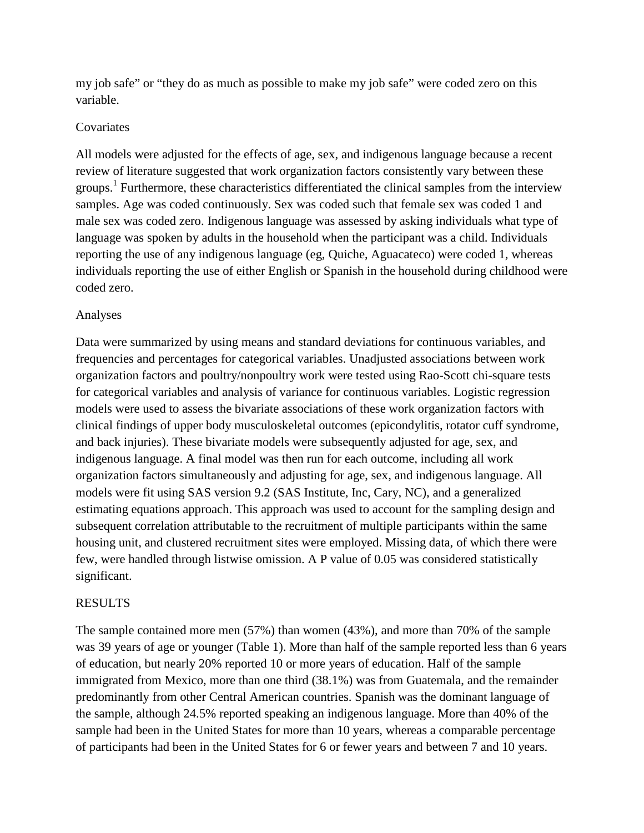my job safe" or "they do as much as possible to make my job safe" were coded zero on this variable.

### **Covariates**

All models were adjusted for the effects of age, sex, and indigenous language because a recent review of literature suggested that work organization factors consistently vary between these groups.<sup>1</sup> Furthermore, these characteristics differentiated the clinical samples from the interview samples. Age was coded continuously. Sex was coded such that female sex was coded 1 and male sex was coded zero. Indigenous language was assessed by asking individuals what type of language was spoken by adults in the household when the participant was a child. Individuals reporting the use of any indigenous language (eg, Quiche, Aguacateco) were coded 1, whereas individuals reporting the use of either English or Spanish in the household during childhood were coded zero.

#### Analyses

Data were summarized by using means and standard deviations for continuous variables, and frequencies and percentages for categorical variables. Unadjusted associations between work organization factors and poultry/nonpoultry work were tested using Rao-Scott chi-square tests for categorical variables and analysis of variance for continuous variables. Logistic regression models were used to assess the bivariate associations of these work organization factors with clinical findings of upper body musculoskeletal outcomes (epicondylitis, rotator cuff syndrome, and back injuries). These bivariate models were subsequently adjusted for age, sex, and indigenous language. A final model was then run for each outcome, including all work organization factors simultaneously and adjusting for age, sex, and indigenous language. All models were fit using SAS version 9.2 (SAS Institute, Inc, Cary, NC), and a generalized estimating equations approach. This approach was used to account for the sampling design and subsequent correlation attributable to the recruitment of multiple participants within the same housing unit, and clustered recruitment sites were employed. Missing data, of which there were few, were handled through listwise omission. A P value of 0.05 was considered statistically significant.

#### RESULTS

The sample contained more men (57%) than women (43%), and more than 70% of the sample was 39 years of age or younger (Table 1). More than half of the sample reported less than 6 years of education, but nearly 20% reported 10 or more years of education. Half of the sample immigrated from Mexico, more than one third (38.1%) was from Guatemala, and the remainder predominantly from other Central American countries. Spanish was the dominant language of the sample, although 24.5% reported speaking an indigenous language. More than 40% of the sample had been in the United States for more than 10 years, whereas a comparable percentage of participants had been in the United States for 6 or fewer years and between 7 and 10 years.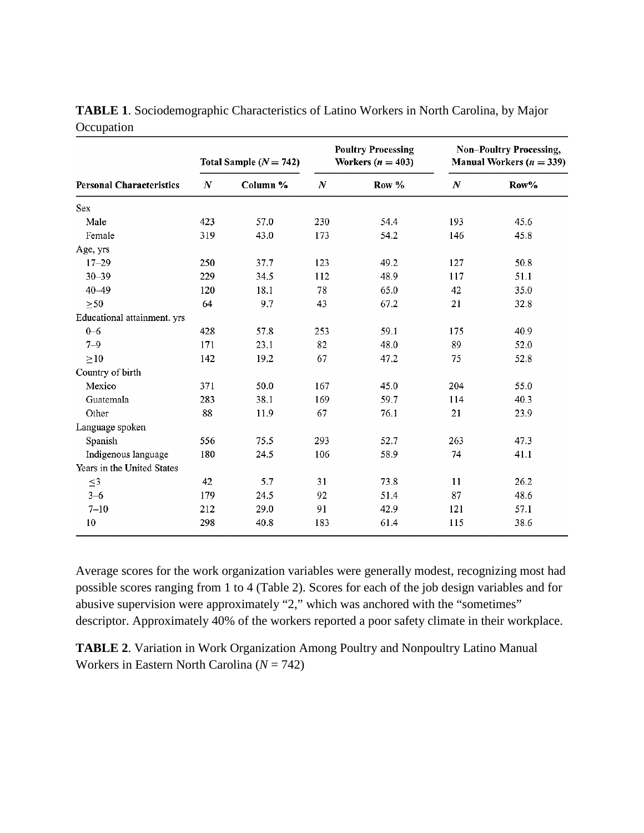|                                 | Total Sample $(N = 742)$ |          | <b>Poultry Processing</b><br>Workers $(n = 403)$ |       | <b>Non-Poultry Processing,</b><br>Manual Workers $(n = 339)$ |      |
|---------------------------------|--------------------------|----------|--------------------------------------------------|-------|--------------------------------------------------------------|------|
| <b>Personal Characteristics</b> | $\boldsymbol{N}$         | Column % | $\boldsymbol{N}$                                 | Row % | $\boldsymbol{N}$                                             | Row% |
| Sex                             |                          |          |                                                  |       |                                                              |      |
| Male                            | 423                      | 57.0     | 230                                              | 54.4  | 193                                                          | 45.6 |
| Female                          | 319                      | 43.0     | 173                                              | 54.2  | 146                                                          | 45.8 |
| Age, yrs                        |                          |          |                                                  |       |                                                              |      |
| $17 - 29$                       | 250                      | 37.7     | 123                                              | 49.2  | 127                                                          | 50.8 |
| $30 - 39$                       | 229                      | 34.5     | 112                                              | 48.9  | 117                                                          | 51.1 |
| $40 - 49$                       | 120                      | 18.1     | 78                                               | 65.0  | 42                                                           | 35.0 |
| $\geq 50$                       | 64                       | 9.7      | 43                                               | 67.2  | 21                                                           | 32.8 |
| Educational attainment. yrs     |                          |          |                                                  |       |                                                              |      |
| $0 - 6$                         | 428                      | 57.8     | 253                                              | 59.1  | 175                                                          | 40.9 |
| $7 - 9$                         | 171                      | 23.1     | 82                                               | 48.0  | 89                                                           | 52.0 |
| $\geq$ 10                       | 142                      | 19.2     | 67                                               | 47.2  | 75                                                           | 52.8 |
| Country of birth                |                          |          |                                                  |       |                                                              |      |
| Mexico                          | 371                      | 50.0     | 167                                              | 45.0  | 204                                                          | 55.0 |
| Guatemala                       | 283                      | 38.1     | 169                                              | 59.7  | 114                                                          | 40.3 |
| Other                           | 88                       | 11.9     | 67                                               | 76.1  | 21                                                           | 23.9 |
| Language spoken                 |                          |          |                                                  |       |                                                              |      |
| Spanish                         | 556                      | 75.5     | 293                                              | 52.7  | 263                                                          | 47.3 |
| Indigenous language             | 180                      | 24.5     | 106                                              | 58.9  | 74                                                           | 41.1 |
| Years in the United States      |                          |          |                                                  |       |                                                              |      |
| $\leq$ 3                        | 42                       | 5.7      | 31                                               | 73.8  | 11                                                           | 26.2 |
| $3 - 6$                         | 179                      | 24.5     | 92                                               | 51.4  | 87                                                           | 48.6 |
| $7 - 10$                        | 212                      | 29.0     | 91                                               | 42.9  | 121                                                          | 57.1 |
| 10                              | 298                      | 40.8     | 183                                              | 61.4  | 115                                                          | 38.6 |

**TABLE 1**. Sociodemographic Characteristics of Latino Workers in North Carolina, by Major **Occupation** 

Average scores for the work organization variables were generally modest, recognizing most had possible scores ranging from 1 to 4 (Table 2). Scores for each of the job design variables and for abusive supervision were approximately "2," which was anchored with the "sometimes" descriptor. Approximately 40% of the workers reported a poor safety climate in their workplace.

**TABLE 2**. Variation in Work Organization Among Poultry and Nonpoultry Latino Manual Workers in Eastern North Carolina (*N* = 742)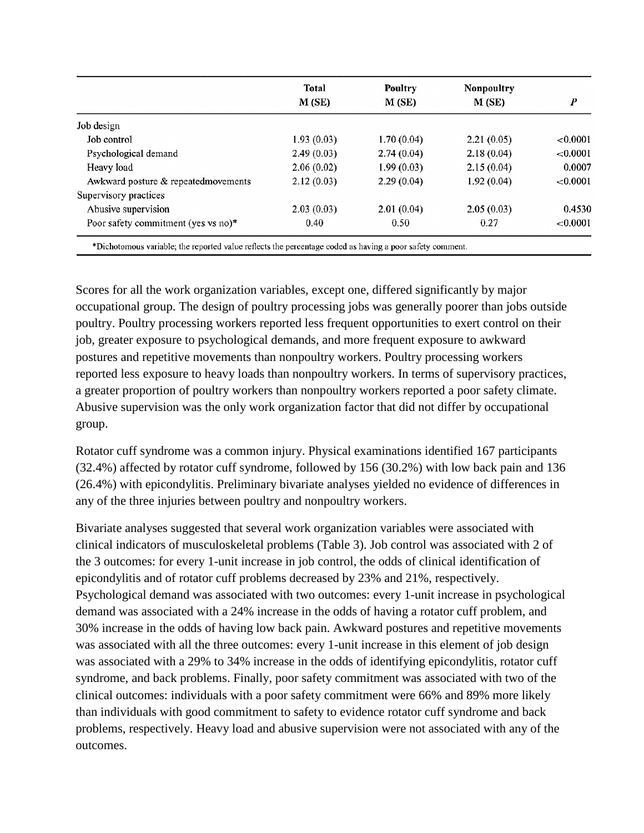|                                      | Total      | <b>Poultry</b> | Nonpoultry |                  |
|--------------------------------------|------------|----------------|------------|------------------|
|                                      | M(SE)      | M(SE)          | M(SE)      | $\boldsymbol{P}$ |
| Job design                           |            |                |            |                  |
| Job control                          | 1.93(0.03) | 1.70(0.04)     | 2.21(0.05) | < 0.0001         |
| Psychological demand                 | 2.49(0.03) | 2.74(0.04)     | 2.18(0.04) | < 0.0001         |
| Heavy load                           | 2.06(0.02) | 1.99(0.03)     | 2.15(0.04) | 0.0007           |
| Awkward posture & repeated movements | 2.12(0.03) | 2.29(0.04)     | 1.92(0.04) | < 0.0001         |
| Supervisory practices                |            |                |            |                  |
| Abusive supervision                  | 2.03(0.03) | 2.01(0.04)     | 2.05(0.03) | 0.4530           |
| Poor safety commitment (yes vs no)*  | 0.40       | 0.50           | 0.27       | < 0.0001         |

Scores for all the work organization variables, except one, differed significantly by major occupational group. The design of poultry processing jobs was generally poorer than jobs outside poultry. Poultry processing workers reported less frequent opportunities to exert control on their job, greater exposure to psychological demands, and more frequent exposure to awkward postures and repetitive movements than nonpoultry workers. Poultry processing workers reported less exposure to heavy loads than nonpoultry workers. In terms of supervisory practices, a greater proportion of poultry workers than nonpoultry workers reported a poor safety climate. Abusive supervision was the only work organization factor that did not differ by occupational group.

Rotator cuff syndrome was a common injury. Physical examinations identified 167 participants (32.4%) affected by rotator cuff syndrome, followed by 156 (30.2%) with low back pain and 136 (26.4%) with epicondylitis. Preliminary bivariate analyses yielded no evidence of differences in any of the three injuries between poultry and nonpoultry workers.

Bivariate analyses suggested that several work organization variables were associated with clinical indicators of musculoskeletal problems (Table 3). Job control was associated with 2 of the 3 outcomes: for every 1-unit increase in job control, the odds of clinical identification of epicondylitis and of rotator cuff problems decreased by 23% and 21%, respectively. Psychological demand was associated with two outcomes: every 1-unit increase in psychological demand was associated with a 24% increase in the odds of having a rotator cuff problem, and 30% increase in the odds of having low back pain. Awkward postures and repetitive movements was associated with all the three outcomes: every 1-unit increase in this element of job design was associated with a 29% to 34% increase in the odds of identifying epicondylitis, rotator cuff syndrome, and back problems. Finally, poor safety commitment was associated with two of the clinical outcomes: individuals with a poor safety commitment were 66% and 89% more likely than individuals with good commitment to safety to evidence rotator cuff syndrome and back problems, respectively. Heavy load and abusive supervision were not associated with any of the outcomes.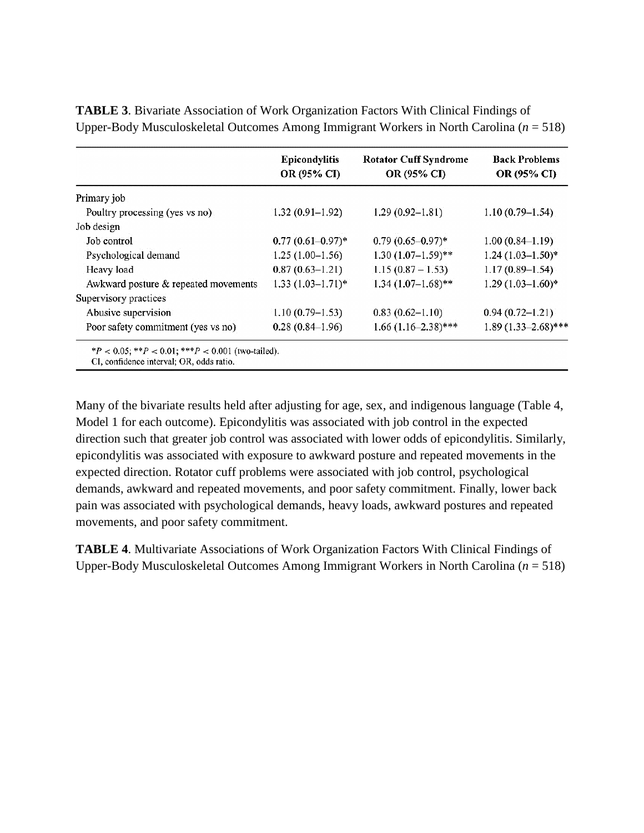|                                      | Epicondylitis<br>OR (95% CI) | <b>Rotator Cuff Syndrome</b><br><b>OR (95% CI)</b> | <b>Back Problems</b><br>OR (95% CI) |
|--------------------------------------|------------------------------|----------------------------------------------------|-------------------------------------|
| Primary job                          |                              |                                                    |                                     |
| Poultry processing (yes vs no)       | $1.32(0.91 - 1.92)$          | $1.29(0.92 - 1.81)$                                | $1.10(0.79 - 1.54)$                 |
| Job design                           |                              |                                                    |                                     |
| Job control                          | $0.77(0.61 - 0.97)^*$        | $0.79(0.65 - 0.97)^*$                              | $1.00(0.84 - 1.19)$                 |
| Psychological demand                 | $1.25(1.00-1.56)$            | $1.30(1.07-1.59)$ **                               | $1.24(1.03-1.50)*$                  |
| Heavy load                           | $0.87(0.63 - 1.21)$          | $1.15(0.87 - 1.53)$                                | $1.17(0.89 - 1.54)$                 |
| Awkward posture & repeated movements | $1.33(1.03 - 1.71)*$         | $1.34(1.07-1.68)$ **                               | $1.29(1.03 - 1.60)*$                |
| Supervisory practices                |                              |                                                    |                                     |
| Abusive supervision                  | $1.10(0.79 - 1.53)$          | $0.83(0.62 - 1.10)$                                | $0.94(0.72 - 1.21)$                 |
| Poor safety commitment (yes vs no)   | $0.28(0.84 - 1.96)$          | $1.66(1.16-2.38)$ ***                              | $1.89(1.33 - 2.68)$ ***             |

**TABLE 3**. Bivariate Association of Work Organization Factors With Clinical Findings of Upper-Body Musculoskeletal Outcomes Among Immigrant Workers in North Carolina (*n* = 518)

Many of the bivariate results held after adjusting for age, sex, and indigenous language (Table 4, Model 1 for each outcome). Epicondylitis was associated with job control in the expected direction such that greater job control was associated with lower odds of epicondylitis. Similarly, epicondylitis was associated with exposure to awkward posture and repeated movements in the expected direction. Rotator cuff problems were associated with job control, psychological demands, awkward and repeated movements, and poor safety commitment. Finally, lower back pain was associated with psychological demands, heavy loads, awkward postures and repeated movements, and poor safety commitment.

**TABLE 4**. Multivariate Associations of Work Organization Factors With Clinical Findings of Upper-Body Musculoskeletal Outcomes Among Immigrant Workers in North Carolina (*n* = 518)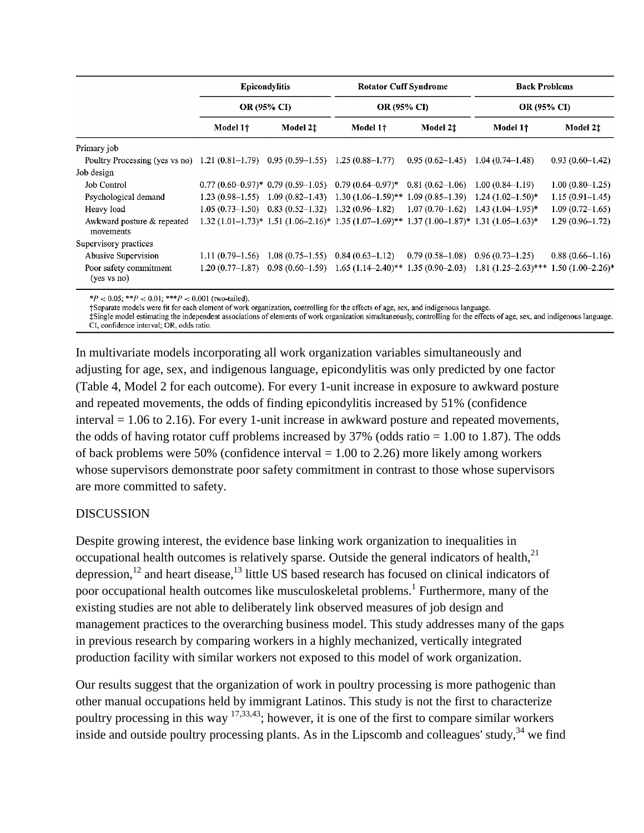|                                                                                         |                    | <b>Epicondylitis</b>               | <b>Rotator Cuff Syndrome</b>                                                                            |                      | <b>Back Problems</b>                                                                                                       |                      |  |
|-----------------------------------------------------------------------------------------|--------------------|------------------------------------|---------------------------------------------------------------------------------------------------------|----------------------|----------------------------------------------------------------------------------------------------------------------------|----------------------|--|
|                                                                                         | <b>OR (95% CI)</b> |                                    | <b>OR (95% CI)</b>                                                                                      |                      | OR (95% CI)                                                                                                                |                      |  |
|                                                                                         | Model 1†           | Model 2 <sup>†</sup>               | Model 1 <sup>†</sup>                                                                                    | Model 2 <sup>t</sup> | Model 1†                                                                                                                   | Model 2 <sup>+</sup> |  |
| Primary job                                                                             |                    |                                    |                                                                                                         |                      |                                                                                                                            |                      |  |
| Poultry Processing (yes vs no) 1.21 $(0.81-1.79)$ 0.95 $(0.59-1.55)$ 1.25 $(0.88-1.77)$ |                    |                                    |                                                                                                         | $0.95(0.62-1.45)$    | $1.04(0.74 - 1.48)$                                                                                                        | $0.93(0.60-1.42)$    |  |
| Job design                                                                              |                    |                                    |                                                                                                         |                      |                                                                                                                            |                      |  |
| <b>Job Control</b>                                                                      |                    |                                    | $0.77(0.60-0.97)^*$ $0.79(0.59-1.05)$ $0.79(0.64-0.97)^*$ $0.81(0.62-1.06)$ 1.00 $(0.84-1.19)$          |                      |                                                                                                                            | $1.00(0.80-1.25)$    |  |
| Psychological demand                                                                    |                    |                                    | $1.23(0.98-1.55)$ $1.09(0.82-1.43)$ $1.30(1.06-1.59)*$ $1.09(0.85-1.39)$ $1.24(1.02-1.50)*$             |                      |                                                                                                                            | $1.15(0.91-1.45)$    |  |
| Heavy load                                                                              |                    |                                    | $1.05(0.73-1.50)$ 0.83 $(0.52-1.32)$ 1.32 $(0.96-1.82)$                                                 |                      | $1.07(0.70-1.62)$ 1.43 $(1.04-1.95)^*$                                                                                     | $1.09(0.72 - 1.65)$  |  |
| Awkward posture & repeated<br>movements                                                 |                    |                                    | $1.32(1.01-1.73)^*$ 1.51 $(1.06-2.16)^*$ 1.35 $(1.07-1.69)^*$ 1.37 $(1.00-1.87)^*$ 1.31 $(1.05-1.63)^*$ |                      |                                                                                                                            | $1.29(0.96 - 1.72)$  |  |
| Supervisory practices                                                                   |                    |                                    |                                                                                                         |                      |                                                                                                                            |                      |  |
| Abusive Supervision                                                                     | $1.11(0.79-1.56)$  | $1.08(0.75-1.55)$ 0.84 (0.63-1.12) |                                                                                                         | $0.79(0.58-1.08)$    | $0.96(0.73-1.25)$                                                                                                          | $0.88(0.66 - 1.16)$  |  |
| Poor safety commitment<br>(yes vs no)                                                   |                    |                                    |                                                                                                         |                      | $1.20 (0.77-1.87)$ $0.98 (0.60-1.59)$ $1.65 (1.14-2.40)$ ** $1.35 (0.90-2.03)$ $1.81 (1.25-2.63)$ *** $1.50 (1.00-2.26)$ * |                      |  |

\*P < 0.05; \*\*P < 0.01; \*\*\*P < 0.001 (two-tailed).

†Separate models were fit for each element of work organization, controlling for the effects of age, sex, and indigenous language.

‡Single model estimating the independent associations of elements of work organization simultaneously, controlling for the effects of age, sex, and indigenous language. CI, confidence interval; OR, odds ratio.

In multivariate models incorporating all work organization variables simultaneously and adjusting for age, sex, and indigenous language, epicondylitis was only predicted by one factor (Table 4, Model 2 for each outcome). For every 1-unit increase in exposure to awkward posture and repeated movements, the odds of finding epicondylitis increased by 51% (confidence interval = 1.06 to 2.16). For every 1-unit increase in awkward posture and repeated movements, the odds of having rotator cuff problems increased by  $37\%$  (odds ratio = 1.00 to 1.87). The odds of back problems were 50% (confidence interval  $= 1.00$  to 2.26) more likely among workers whose supervisors demonstrate poor safety commitment in contrast to those whose supervisors are more committed to safety.

#### DISCUSSION

Despite growing interest, the evidence base linking work organization to inequalities in occupational health outcomes is relatively sparse. Outside the general indicators of health, $^{21}$ depression, $^{12}$  and heart disease, $^{13}$  little US based research has focused on clinical indicators of poor occupational health outcomes like musculoskeletal problems.<sup>1</sup> Furthermore, many of the existing studies are not able to deliberately link observed measures of job design and management practices to the overarching business model. This study addresses many of the gaps in previous research by comparing workers in a highly mechanized, vertically integrated production facility with similar workers not exposed to this model of work organization.

Our results suggest that the organization of work in poultry processing is more pathogenic than other manual occupations held by immigrant Latinos. This study is not the first to characterize poultry processing in this way <sup>17,33,43</sup>; however, it is one of the first to compare similar workers inside and outside poultry processing plants. As in the Lipscomb and colleagues' study,  $34$  we find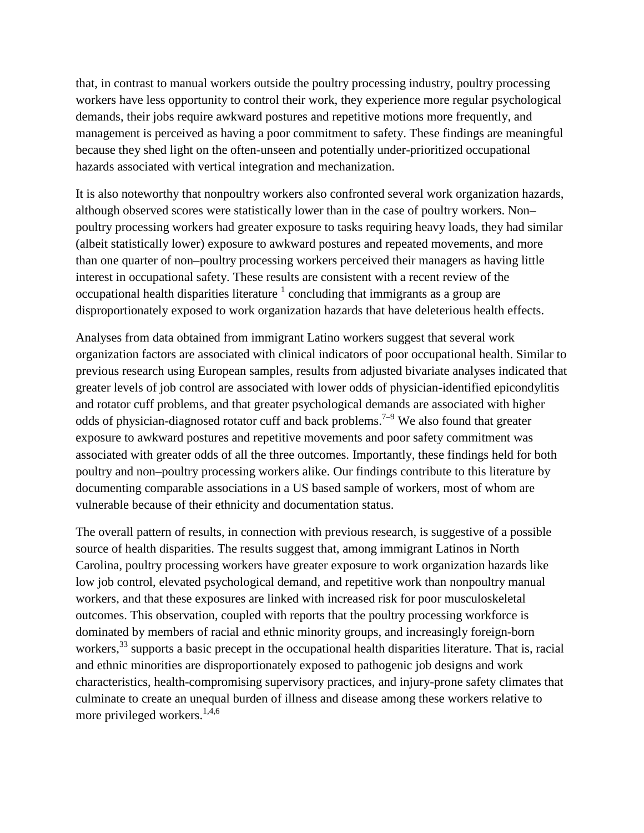that, in contrast to manual workers outside the poultry processing industry, poultry processing workers have less opportunity to control their work, they experience more regular psychological demands, their jobs require awkward postures and repetitive motions more frequently, and management is perceived as having a poor commitment to safety. These findings are meaningful because they shed light on the often-unseen and potentially under-prioritized occupational hazards associated with vertical integration and mechanization.

It is also noteworthy that nonpoultry workers also confronted several work organization hazards, although observed scores were statistically lower than in the case of poultry workers. Non– poultry processing workers had greater exposure to tasks requiring heavy loads, they had similar (albeit statistically lower) exposure to awkward postures and repeated movements, and more than one quarter of non–poultry processing workers perceived their managers as having little interest in occupational safety. These results are consistent with a recent review of the occupational health disparities literature  $<sup>1</sup>$  concluding that immigrants as a group are</sup> disproportionately exposed to work organization hazards that have deleterious health effects.

Analyses from data obtained from immigrant Latino workers suggest that several work organization factors are associated with clinical indicators of poor occupational health. Similar to previous research using European samples, results from adjusted bivariate analyses indicated that greater levels of job control are associated with lower odds of physician-identified epicondylitis and rotator cuff problems, and that greater psychological demands are associated with higher odds of physician-diagnosed rotator cuff and back problems.<sup>7-9</sup> We also found that greater exposure to awkward postures and repetitive movements and poor safety commitment was associated with greater odds of all the three outcomes. Importantly, these findings held for both poultry and non–poultry processing workers alike. Our findings contribute to this literature by documenting comparable associations in a US based sample of workers, most of whom are vulnerable because of their ethnicity and documentation status.

The overall pattern of results, in connection with previous research, is suggestive of a possible source of health disparities. The results suggest that, among immigrant Latinos in North Carolina, poultry processing workers have greater exposure to work organization hazards like low job control, elevated psychological demand, and repetitive work than nonpoultry manual workers, and that these exposures are linked with increased risk for poor musculoskeletal outcomes. This observation, coupled with reports that the poultry processing workforce is dominated by members of racial and ethnic minority groups, and increasingly foreign-born workers,<sup>33</sup> supports a basic precept in the occupational health disparities literature. That is, racial and ethnic minorities are disproportionately exposed to pathogenic job designs and work characteristics, health-compromising supervisory practices, and injury-prone safety climates that culminate to create an unequal burden of illness and disease among these workers relative to more privileged workers.<sup>1,4,6</sup>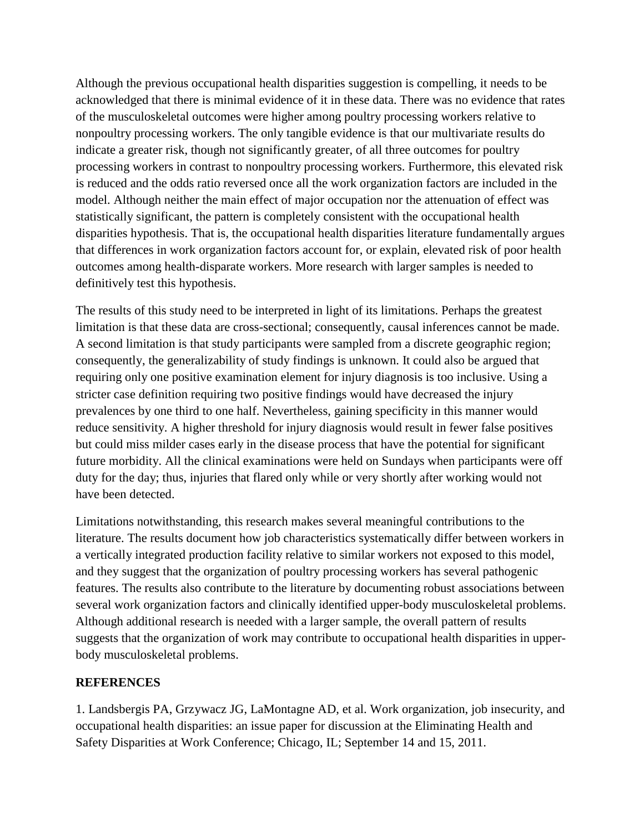Although the previous occupational health disparities suggestion is compelling, it needs to be acknowledged that there is minimal evidence of it in these data. There was no evidence that rates of the musculoskeletal outcomes were higher among poultry processing workers relative to nonpoultry processing workers. The only tangible evidence is that our multivariate results do indicate a greater risk, though not significantly greater, of all three outcomes for poultry processing workers in contrast to nonpoultry processing workers. Furthermore, this elevated risk is reduced and the odds ratio reversed once all the work organization factors are included in the model. Although neither the main effect of major occupation nor the attenuation of effect was statistically significant, the pattern is completely consistent with the occupational health disparities hypothesis. That is, the occupational health disparities literature fundamentally argues that differences in work organization factors account for, or explain, elevated risk of poor health outcomes among health-disparate workers. More research with larger samples is needed to definitively test this hypothesis.

The results of this study need to be interpreted in light of its limitations. Perhaps the greatest limitation is that these data are cross-sectional; consequently, causal inferences cannot be made. A second limitation is that study participants were sampled from a discrete geographic region; consequently, the generalizability of study findings is unknown. It could also be argued that requiring only one positive examination element for injury diagnosis is too inclusive. Using a stricter case definition requiring two positive findings would have decreased the injury prevalences by one third to one half. Nevertheless, gaining specificity in this manner would reduce sensitivity. A higher threshold for injury diagnosis would result in fewer false positives but could miss milder cases early in the disease process that have the potential for significant future morbidity. All the clinical examinations were held on Sundays when participants were off duty for the day; thus, injuries that flared only while or very shortly after working would not have been detected.

Limitations notwithstanding, this research makes several meaningful contributions to the literature. The results document how job characteristics systematically differ between workers in a vertically integrated production facility relative to similar workers not exposed to this model, and they suggest that the organization of poultry processing workers has several pathogenic features. The results also contribute to the literature by documenting robust associations between several work organization factors and clinically identified upper-body musculoskeletal problems. Although additional research is needed with a larger sample, the overall pattern of results suggests that the organization of work may contribute to occupational health disparities in upperbody musculoskeletal problems.

## **REFERENCES**

1. Landsbergis PA, Grzywacz JG, LaMontagne AD, et al. Work organization, job insecurity, and occupational health disparities: an issue paper for discussion at the Eliminating Health and Safety Disparities at Work Conference; Chicago, IL; September 14 and 15, 2011.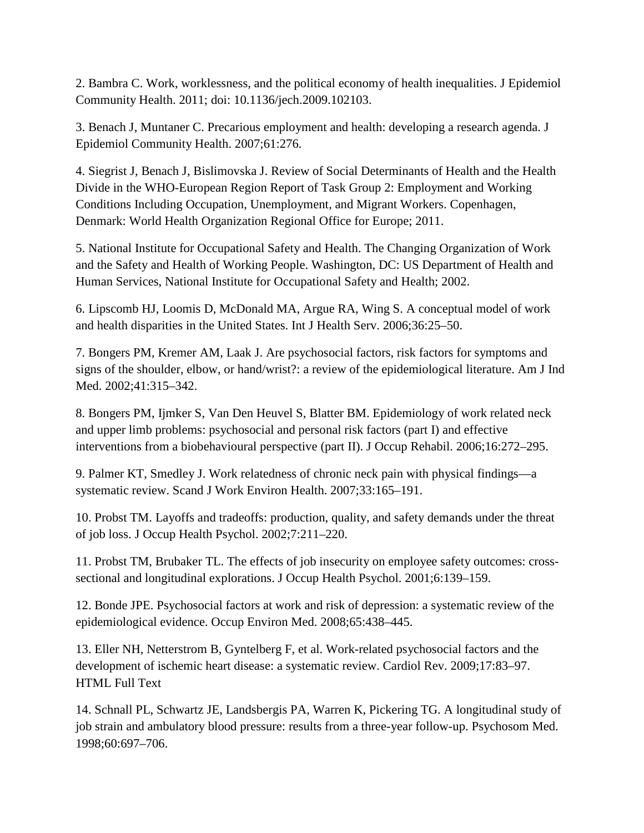2. Bambra C. Work, worklessness, and the political economy of health inequalities. J Epidemiol Community Health. 2011; doi: 10.1136/jech.2009.102103.

3. Benach J, Muntaner C. Precarious employment and health: developing a research agenda. J Epidemiol Community Health. 2007;61:276.

4. Siegrist J, Benach J, Bislimovska J. Review of Social Determinants of Health and the Health Divide in the WHO-European Region Report of Task Group 2: Employment and Working Conditions Including Occupation, Unemployment, and Migrant Workers. Copenhagen, Denmark: World Health Organization Regional Office for Europe; 2011.

5. National Institute for Occupational Safety and Health. The Changing Organization of Work and the Safety and Health of Working People. Washington, DC: US Department of Health and Human Services, National Institute for Occupational Safety and Health; 2002.

6. Lipscomb HJ, Loomis D, McDonald MA, Argue RA, Wing S. A conceptual model of work and health disparities in the United States. Int J Health Serv. 2006;36:25–50.

7. Bongers PM, Kremer AM, Laak J. Are psychosocial factors, risk factors for symptoms and signs of the shoulder, elbow, or hand/wrist?: a review of the epidemiological literature. Am J Ind Med. 2002;41:315–342.

8. Bongers PM, Ijmker S, Van Den Heuvel S, Blatter BM. Epidemiology of work related neck and upper limb problems: psychosocial and personal risk factors (part I) and effective interventions from a biobehavioural perspective (part II). J Occup Rehabil. 2006;16:272–295.

9. Palmer KT, Smedley J. Work relatedness of chronic neck pain with physical findings—a systematic review. Scand J Work Environ Health. 2007;33:165–191.

10. Probst TM. Layoffs and tradeoffs: production, quality, and safety demands under the threat of job loss. J Occup Health Psychol. 2002;7:211–220.

11. Probst TM, Brubaker TL. The effects of job insecurity on employee safety outcomes: crosssectional and longitudinal explorations. J Occup Health Psychol. 2001;6:139–159.

12. Bonde JPE. Psychosocial factors at work and risk of depression: a systematic review of the epidemiological evidence. Occup Environ Med. 2008;65:438–445.

13. Eller NH, Netterstrom B, Gyntelberg F, et al. Work-related psychosocial factors and the development of ischemic heart disease: a systematic review. Cardiol Rev. 2009;17:83–97. HTML Full Text

14. Schnall PL, Schwartz JE, Landsbergis PA, Warren K, Pickering TG. A longitudinal study of job strain and ambulatory blood pressure: results from a three-year follow-up. Psychosom Med. 1998;60:697–706.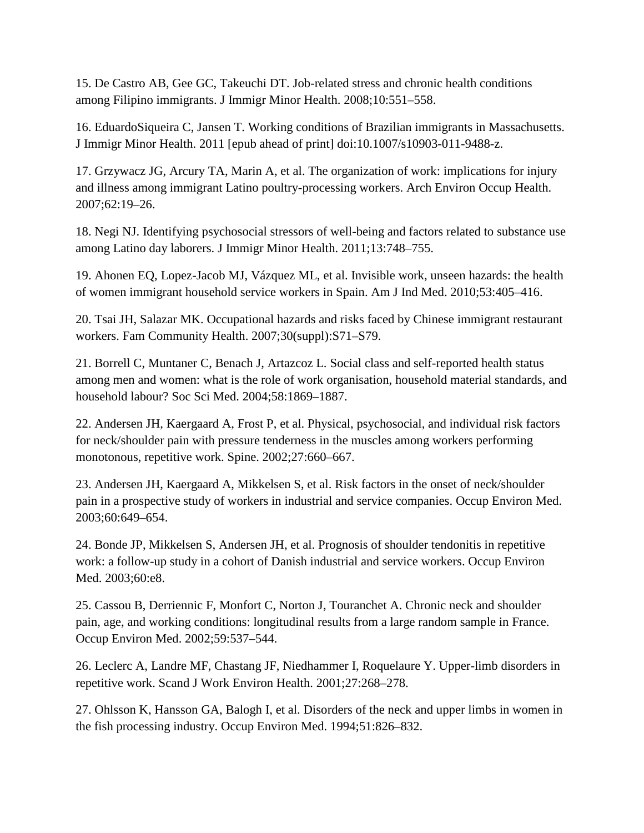15. De Castro AB, Gee GC, Takeuchi DT. Job-related stress and chronic health conditions among Filipino immigrants. J Immigr Minor Health. 2008;10:551–558.

16. EduardoSiqueira C, Jansen T. Working conditions of Brazilian immigrants in Massachusetts. J Immigr Minor Health. 2011 [epub ahead of print] doi:10.1007/s10903-011-9488-z.

17. Grzywacz JG, Arcury TA, Marin A, et al. The organization of work: implications for injury and illness among immigrant Latino poultry-processing workers. Arch Environ Occup Health. 2007;62:19–26.

18. Negi NJ. Identifying psychosocial stressors of well-being and factors related to substance use among Latino day laborers. J Immigr Minor Health. 2011;13:748–755.

19. Ahonen EQ, Lopez-Jacob MJ, Vázquez ML, et al. Invisible work, unseen hazards: the health of women immigrant household service workers in Spain. Am J Ind Med. 2010;53:405–416.

20. Tsai JH, Salazar MK. Occupational hazards and risks faced by Chinese immigrant restaurant workers. Fam Community Health. 2007;30(suppl):S71–S79.

21. Borrell C, Muntaner C, Benach J, Artazcoz L. Social class and self-reported health status among men and women: what is the role of work organisation, household material standards, and household labour? Soc Sci Med. 2004;58:1869–1887.

22. Andersen JH, Kaergaard A, Frost P, et al. Physical, psychosocial, and individual risk factors for neck/shoulder pain with pressure tenderness in the muscles among workers performing monotonous, repetitive work. Spine. 2002;27:660–667.

23. Andersen JH, Kaergaard A, Mikkelsen S, et al. Risk factors in the onset of neck/shoulder pain in a prospective study of workers in industrial and service companies. Occup Environ Med. 2003;60:649–654.

24. Bonde JP, Mikkelsen S, Andersen JH, et al. Prognosis of shoulder tendonitis in repetitive work: a follow-up study in a cohort of Danish industrial and service workers. Occup Environ Med. 2003;60:e8.

25. Cassou B, Derriennic F, Monfort C, Norton J, Touranchet A. Chronic neck and shoulder pain, age, and working conditions: longitudinal results from a large random sample in France. Occup Environ Med. 2002;59:537–544.

26. Leclerc A, Landre MF, Chastang JF, Niedhammer I, Roquelaure Y. Upper-limb disorders in repetitive work. Scand J Work Environ Health. 2001;27:268–278.

27. Ohlsson K, Hansson GA, Balogh I, et al. Disorders of the neck and upper limbs in women in the fish processing industry. Occup Environ Med. 1994;51:826–832.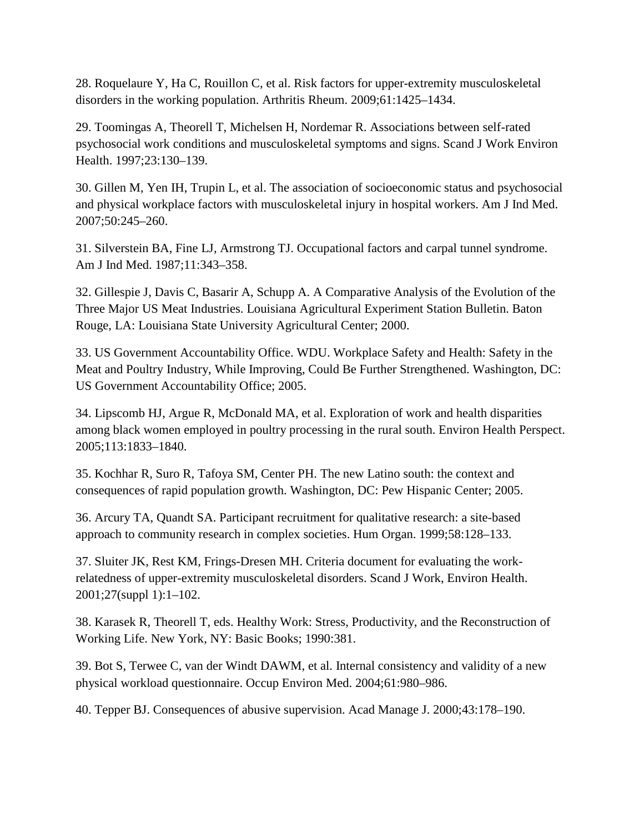28. Roquelaure Y, Ha C, Rouillon C, et al. Risk factors for upper-extremity musculoskeletal disorders in the working population. Arthritis Rheum. 2009;61:1425–1434.

29. Toomingas A, Theorell T, Michelsen H, Nordemar R. Associations between self-rated psychosocial work conditions and musculoskeletal symptoms and signs. Scand J Work Environ Health. 1997;23:130–139.

30. Gillen M, Yen IH, Trupin L, et al. The association of socioeconomic status and psychosocial and physical workplace factors with musculoskeletal injury in hospital workers. Am J Ind Med. 2007;50:245–260.

31. Silverstein BA, Fine LJ, Armstrong TJ. Occupational factors and carpal tunnel syndrome. Am J Ind Med. 1987;11:343–358.

32. Gillespie J, Davis C, Basarir A, Schupp A. A Comparative Analysis of the Evolution of the Three Major US Meat Industries. Louisiana Agricultural Experiment Station Bulletin. Baton Rouge, LA: Louisiana State University Agricultural Center; 2000.

33. US Government Accountability Office. WDU. Workplace Safety and Health: Safety in the Meat and Poultry Industry, While Improving, Could Be Further Strengthened. Washington, DC: US Government Accountability Office; 2005.

34. Lipscomb HJ, Argue R, McDonald MA, et al. Exploration of work and health disparities among black women employed in poultry processing in the rural south. Environ Health Perspect. 2005;113:1833–1840.

35. Kochhar R, Suro R, Tafoya SM, Center PH. The new Latino south: the context and consequences of rapid population growth. Washington, DC: Pew Hispanic Center; 2005.

36. Arcury TA, Quandt SA. Participant recruitment for qualitative research: a site-based approach to community research in complex societies. Hum Organ. 1999;58:128–133.

37. Sluiter JK, Rest KM, Frings-Dresen MH. Criteria document for evaluating the workrelatedness of upper-extremity musculoskeletal disorders. Scand J Work, Environ Health. 2001;27(suppl 1):1–102.

38. Karasek R, Theorell T, eds. Healthy Work: Stress, Productivity, and the Reconstruction of Working Life. New York, NY: Basic Books; 1990:381.

39. Bot S, Terwee C, van der Windt DAWM, et al. Internal consistency and validity of a new physical workload questionnaire. Occup Environ Med. 2004;61:980–986.

40. Tepper BJ. Consequences of abusive supervision. Acad Manage J. 2000;43:178–190.